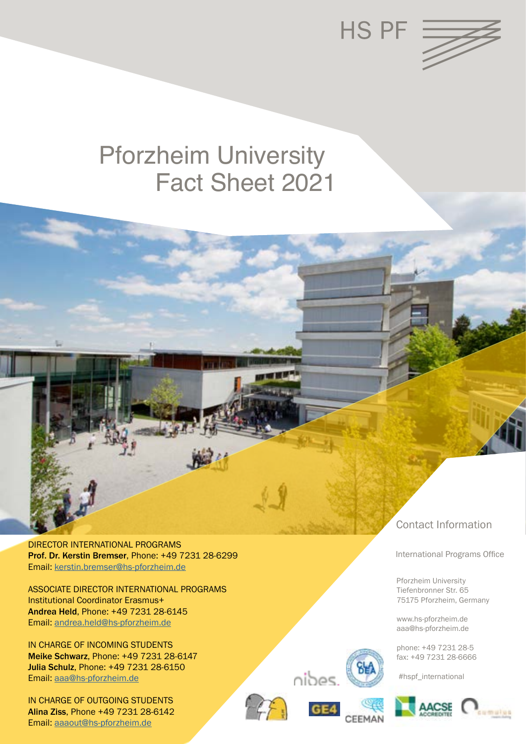

# Fact Sheet 2021 Pforzheim University

DIRECTOR INTERNATIONAL PROGRAMS Prof. Dr. Kerstin Bremser, Phone: +49 7231 28-6299 Email: kerstin[.bremser@hs-pforzheim.de](mailto:andrea.held%40hs-pforzheim.de?subject=)

ASSOCIATE DIRECTOR INTERNATIONAL PROGRAMS Institutional Coordinator Erasmus+ Andrea Held, Phone: +49 7231 28-6145 Email: [andrea.held@hs-pforzheim.de](mailto:andrea.held%40hs-pforzheim.de?subject=)

IN CHARGE OF INCOMING STUDENTS Meike Schwarz, Phone: +49 7231 28-6147 Julia Schulz, Phone: +49 7231 28-6150 Email: [aaa@hs-pforzheim.de](mailto:aaa%40hs-pforzheim.de?subject=)

IN CHARGE OF OUTGOING STUDENTS Alina Ziss, Phone +49 7231 28-6142 Email: [aaaout@hs-pforzheim.de](mailto:aaaout%40hs-pforzheim.de?subject=)



nibes.

CEEMA

# Contact Information

International Programs Office

 Pforzheim University Tiefenbronner Str. 65 75175 Pforzheim, Germany

 www.hs-pforzheim.de aaa@hs-pforzheim.de

 phone: +49 7231 28-5 fax: +49 7231 28-6666

#hspf\_international

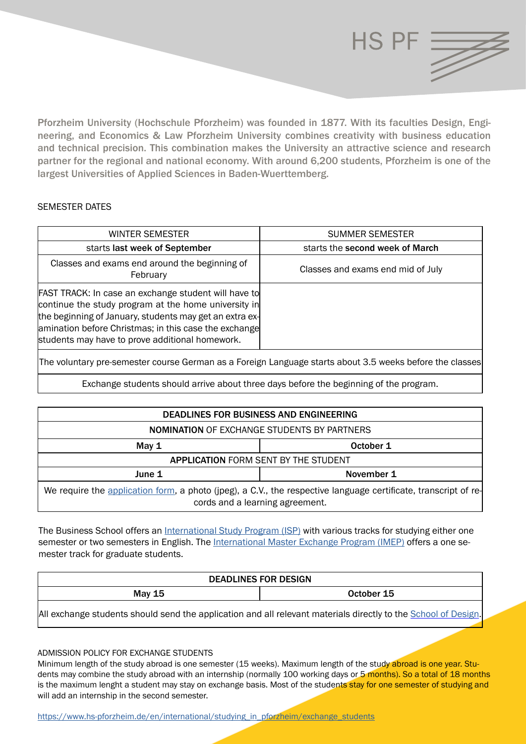

Pforzheim University (Hochschule Pforzheim) was founded in 1877. With its faculties Design, Engineering, and Economics & Law Pforzheim University combines creativity with business education and technical precision. This combination makes the University an attractive science and research partner for the regional and national economy. With around 6,200 students, Pforzheim is one of the largest Universities of Applied Sciences in Baden-Wuerttemberg.

# SEMESTER DATES

| WINTER SEMESTER                                                                                                                                                                                                                                                                            | <b>SUMMER SEMESTER</b>            |
|--------------------------------------------------------------------------------------------------------------------------------------------------------------------------------------------------------------------------------------------------------------------------------------------|-----------------------------------|
| starts last week of September                                                                                                                                                                                                                                                              | starts the second week of March   |
| Classes and exams end around the beginning of<br>February                                                                                                                                                                                                                                  | Classes and exams end mid of July |
| <b>FAST TRACK:</b> In case an exchange student will have to<br>continue the study program at the home university in<br>the beginning of January, students may get an extra ex-<br>amination before Christmas; in this case the exchange<br>students may have to prove additional homework. |                                   |
| The voluntary pre-semester course German as a Foreign Language starts about 3.5 weeks before the classes                                                                                                                                                                                   |                                   |
|                                                                                                                                                                                                                                                                                            |                                   |

Exchange students should arrive about three days before the beginning of the program.

| <b>DEADLINES FOR BUSINESS AND ENGINEERING</b>                                                                                                      |            |  |
|----------------------------------------------------------------------------------------------------------------------------------------------------|------------|--|
| <b>NOMINATION OF EXCHANGE STUDENTS BY PARTNERS</b>                                                                                                 |            |  |
| May $1$                                                                                                                                            | October 1  |  |
| <b>APPLICATION FORM SENT BY THE STUDENT</b>                                                                                                        |            |  |
| June 1                                                                                                                                             | November 1 |  |
| We require the application form, a photo (jpeg), a C.V., the respective language certificate, transcript of re-<br>cords and a learning agreement. |            |  |

The Business School offers an [International Study Program \(ISP\)](https://businesspf.hs-pforzheim.de/international/international_study_program_isp/) with various tracks for studying either one semester or two semesters in English. The [International Master Exchange Program \(IMEP\)](https://businesspf.hs-pforzheim.de/international/international_master_exchange_program_imep/) offers a one semester track for graduate students.

| <b>DEADLINES FOR DESIGN</b>             |            |  |
|-----------------------------------------|------------|--|
| <b>May 15</b>                           | October 15 |  |
| .<br>. .<br>$\cdots$ $\cdots$<br>.<br>. | .          |  |

[All exchange students should send the application and all relevant materials directly to the School of Design](https://designpf.hs-pforzheim.de/international/incoming_exchange_students/).

# ADMISSION POLICY FOR EXCHANGE STUDENTS

Minimum length of the study abroad is one semester (15 weeks). Maximum length of the study abroad is one year. Students may combine the study abroad with an internship (normally 100 working days or 5 months). So a total of 18 months is the maximum lenght a student may stay on exchange basis. Most of the students stay for one semester of studying and will add an internship in the second semester.

https://www.hs-pforzheim.de/en/international/studying\_in\_pforzheim/exchange\_students